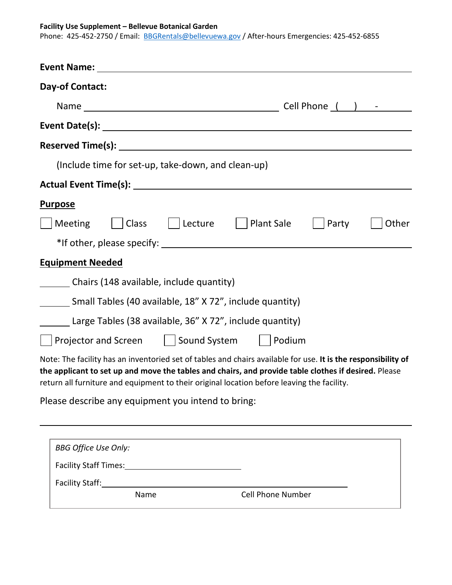## **Facility Use Supplement – Bellevue Botanical Garden**

Phone: 425-452-2750 / Email: [BBGRentals@bellevuewa.gov](mailto:BBGRentals@bellevuewa.gov) / After-hours Emergencies: 425-452-6855

| <b>Day-of Contact:</b>                                                                                                                                                                                                                                                                                              |  |  |  |  |
|---------------------------------------------------------------------------------------------------------------------------------------------------------------------------------------------------------------------------------------------------------------------------------------------------------------------|--|--|--|--|
|                                                                                                                                                                                                                                                                                                                     |  |  |  |  |
|                                                                                                                                                                                                                                                                                                                     |  |  |  |  |
|                                                                                                                                                                                                                                                                                                                     |  |  |  |  |
| (Include time for set-up, take-down, and clean-up)                                                                                                                                                                                                                                                                  |  |  |  |  |
|                                                                                                                                                                                                                                                                                                                     |  |  |  |  |
| <b>Purpose</b>                                                                                                                                                                                                                                                                                                      |  |  |  |  |
| <b>Meeting</b><br>    Class<br>  Lecture<br><b>Plant Sale</b><br>Party<br>Other                                                                                                                                                                                                                                     |  |  |  |  |
| *If other, please specify: The same state of the state of the state of the state of the state of the state of the state of the state of the state of the state of the state of the state of the state of the state of the stat                                                                                      |  |  |  |  |
| <b>Equipment Needed</b>                                                                                                                                                                                                                                                                                             |  |  |  |  |
| Chairs (148 available, include quantity)                                                                                                                                                                                                                                                                            |  |  |  |  |
| Small Tables (40 available, 18" X 72", include quantity)                                                                                                                                                                                                                                                            |  |  |  |  |
| Large Tables (38 available, 36" X 72", include quantity)                                                                                                                                                                                                                                                            |  |  |  |  |
| Projector and Screen   Sound System<br>Podium                                                                                                                                                                                                                                                                       |  |  |  |  |
| Note: The facility has an inventoried set of tables and chairs available for use. It is the responsibility of<br>the applicant to set up and move the tables and chairs, and provide table clothes if desired. Please<br>return all furniture and equipment to their original location before leaving the facility. |  |  |  |  |
| Please describe any equipment you intend to bring:                                                                                                                                                                                                                                                                  |  |  |  |  |

| <b>BBG Office Use Only:</b> |                          |
|-----------------------------|--------------------------|
| Facility Staff Times:       |                          |
| <b>Facility Staff:</b>      |                          |
| Name                        | <b>Cell Phone Number</b> |
|                             |                          |